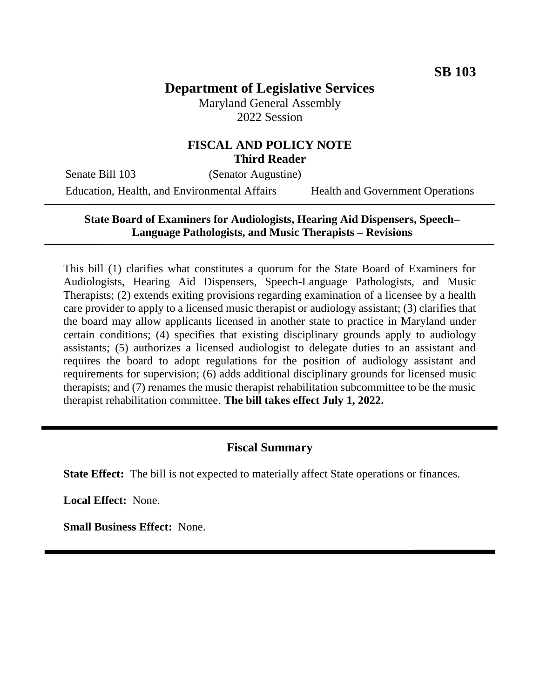# **Department of Legislative Services**

Maryland General Assembly 2022 Session

### **FISCAL AND POLICY NOTE Third Reader**

Senate Bill 103 (Senator Augustine) Education, Health, and Environmental Affairs Health and Government Operations

## **State Board of Examiners for Audiologists, Hearing Aid Dispensers, Speech– Language Pathologists, and Music Therapists – Revisions**

This bill (1) clarifies what constitutes a quorum for the State Board of Examiners for Audiologists, Hearing Aid Dispensers, Speech-Language Pathologists, and Music Therapists; (2) extends exiting provisions regarding examination of a licensee by a health care provider to apply to a licensed music therapist or audiology assistant; (3) clarifies that the board may allow applicants licensed in another state to practice in Maryland under certain conditions; (4) specifies that existing disciplinary grounds apply to audiology assistants; (5) authorizes a licensed audiologist to delegate duties to an assistant and requires the board to adopt regulations for the position of audiology assistant and requirements for supervision; (6) adds additional disciplinary grounds for licensed music therapists; and (7) renames the music therapist rehabilitation subcommittee to be the music therapist rehabilitation committee. **The bill takes effect July 1, 2022.**

## **Fiscal Summary**

**State Effect:** The bill is not expected to materially affect State operations or finances.

**Local Effect:** None.

**Small Business Effect:** None.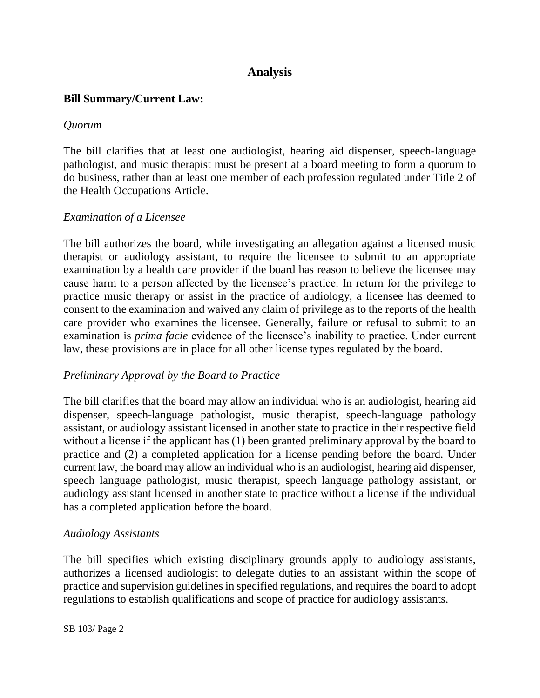## **Analysis**

### **Bill Summary/Current Law:**

#### *Quorum*

The bill clarifies that at least one audiologist, hearing aid dispenser, speech-language pathologist, and music therapist must be present at a board meeting to form a quorum to do business, rather than at least one member of each profession regulated under Title 2 of the Health Occupations Article.

#### *Examination of a Licensee*

The bill authorizes the board, while investigating an allegation against a licensed music therapist or audiology assistant, to require the licensee to submit to an appropriate examination by a health care provider if the board has reason to believe the licensee may cause harm to a person affected by the licensee's practice. In return for the privilege to practice music therapy or assist in the practice of audiology, a licensee has deemed to consent to the examination and waived any claim of privilege as to the reports of the health care provider who examines the licensee. Generally, failure or refusal to submit to an examination is *prima facie* evidence of the licensee's inability to practice. Under current law, these provisions are in place for all other license types regulated by the board.

#### *Preliminary Approval by the Board to Practice*

The bill clarifies that the board may allow an individual who is an audiologist, hearing aid dispenser, speech-language pathologist, music therapist, speech-language pathology assistant, or audiology assistant licensed in another state to practice in their respective field without a license if the applicant has (1) been granted preliminary approval by the board to practice and (2) a completed application for a license pending before the board. Under current law, the board may allow an individual who is an audiologist, hearing aid dispenser, speech language pathologist, music therapist, speech language pathology assistant, or audiology assistant licensed in another state to practice without a license if the individual has a completed application before the board.

#### *Audiology Assistants*

The bill specifies which existing disciplinary grounds apply to audiology assistants, authorizes a licensed audiologist to delegate duties to an assistant within the scope of practice and supervision guidelines in specified regulations, and requires the board to adopt regulations to establish qualifications and scope of practice for audiology assistants.